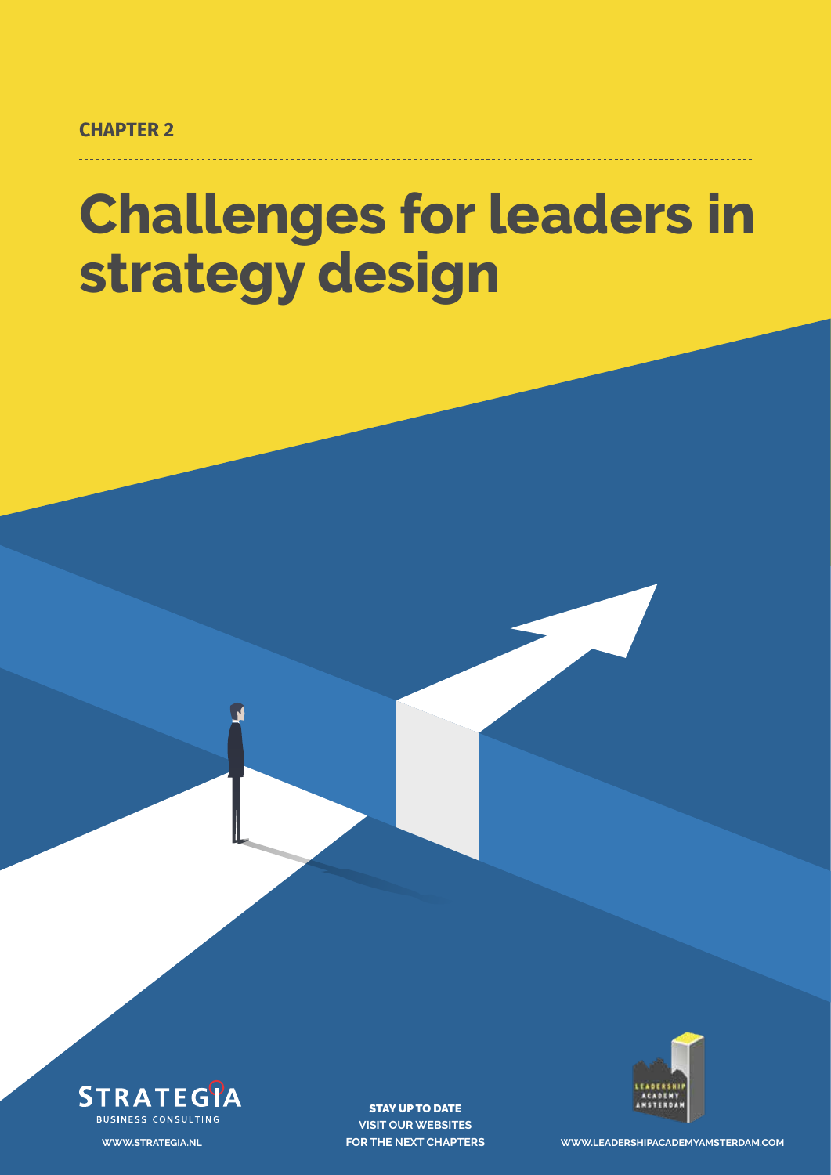**CHAPTER 2**

# **Challenges for leaders in strategy design**



STAY UP TO DATE **VISIT OUR WEBSITES**



**FOR THE NEXT CHAPTERS WWW.LEADERSHIPACADEMYAMSTERDAM.COM**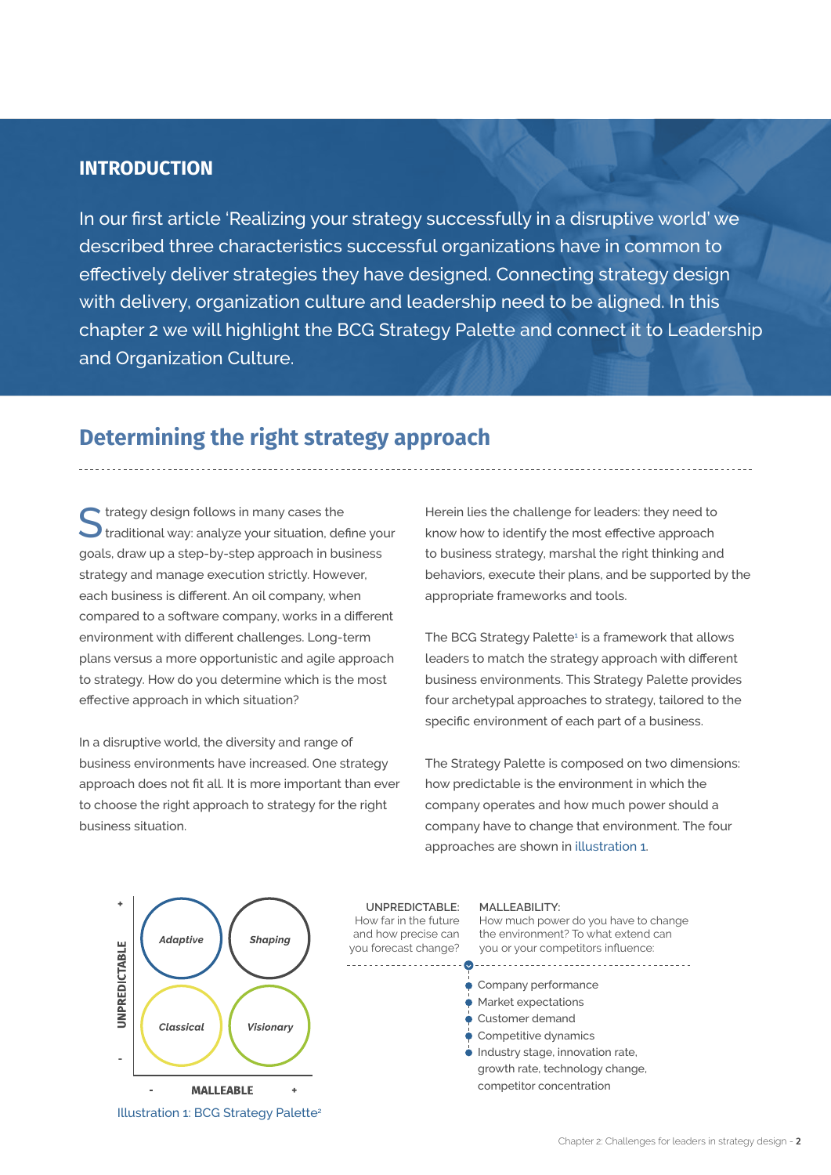#### **INTRODUCTION**

In our first article 'Realizing your strategy successfully in a disruptive world' we described three characteristics successful organizations have in common to effectively deliver strategies they have designed. Connecting strategy design with delivery, organization culture and leadership need to be aligned. In this chapter 2 we will highlight the BCG Strategy Palette and connect it to Leadership and Organization Culture.

### **Determining the right strategy approach**

 $\blacktriangleright$  trategy design follows in many cases the traditional way: analyze your situation, define your goals, draw up a step-by-step approach in business strategy and manage execution strictly. However, each business is different. An oil company, when compared to a software company, works in a different environment with different challenges. Long-term plans versus a more opportunistic and agile approach to strategy. How do you determine which is the most effective approach in which situation?

In a disruptive world, the diversity and range of business environments have increased. One strategy approach does not fit all. It is more important than ever to choose the right approach to strategy for the right business situation.

Herein lies the challenge for leaders: they need to know how to identify the most effective approach to business strategy, marshal the right thinking and behaviors, execute their plans, and be supported by the appropriate frameworks and tools.

The BCG Strategy Palette<sup>1</sup> is a framework that allows leaders to match the strategy approach with different business environments. This Strategy Palette provides four archetypal approaches to strategy, tailored to the specific environment of each part of a business.

The Strategy Palette is composed on two dimensions: how predictable is the environment in which the company operates and how much power should a company have to change that environment. The four approaches are shown in illustration 1.



Illustration 1: BCG Strategy Palette<sup>2</sup>

**UNPREDICTABLE:**  How far in the future and how precise can you forecast change?

#### **MALLEABILITY:**

How much power do you have to change the environment? To what extend can you or your competitors influence:

- Company performance
- Market expectations
- Customer demand
- Competitive dynamics
- $\bullet$  Industry stage, innovation rate, growth rate, technology change, competitor concentration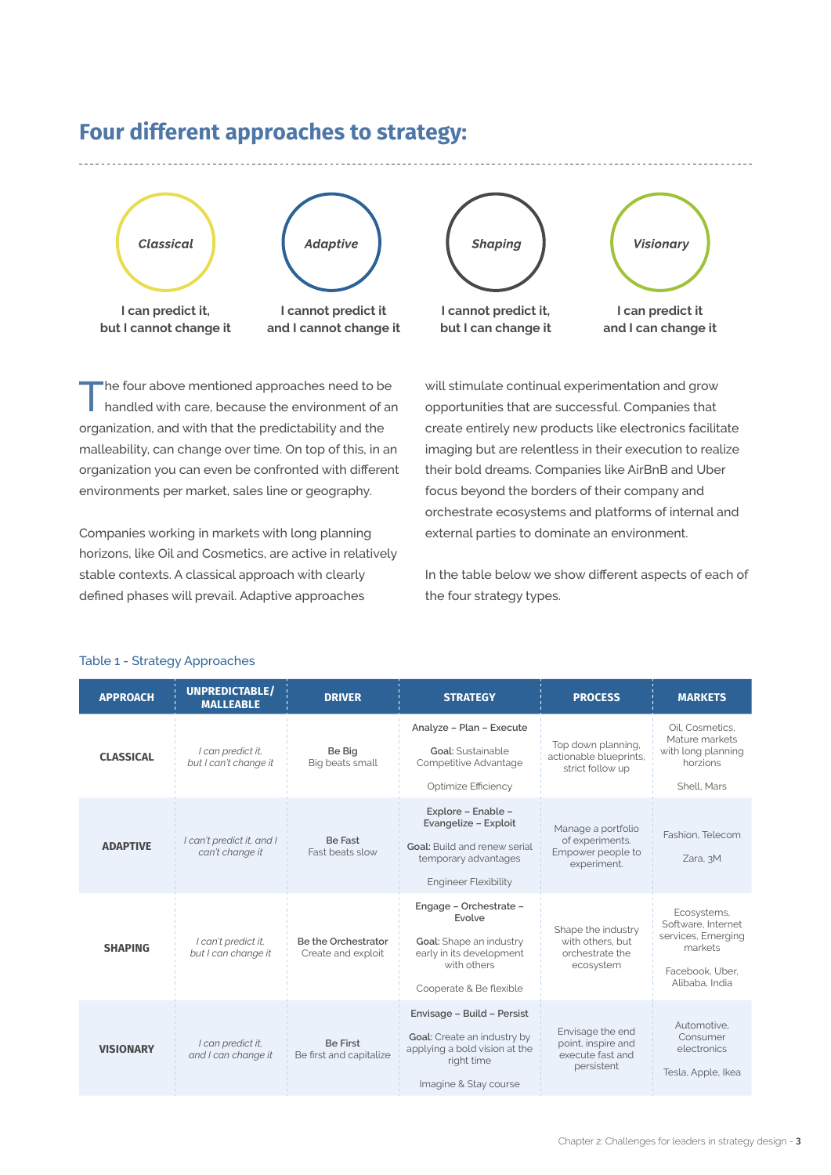

## **Four different approaches to strategy:**

The four above mentioned approaches need to be handled with care, because the environment of an organization, and with that the predictability and the malleability, can change over time. On top of this, in an organization you can even be confronted with different environments per market, sales line or geography.

Companies working in markets with long planning horizons, like Oil and Cosmetics, are active in relatively stable contexts. A classical approach with clearly defined phases will prevail. Adaptive approaches

will stimulate continual experimentation and grow opportunities that are successful. Companies that create entirely new products like electronics facilitate imaging but are relentless in their execution to realize their bold dreams. Companies like AirBnB and Uber focus beyond the borders of their company and orchestrate ecosystems and platforms of internal and external parties to dominate an environment.

In the table below we show different aspects of each of the four strategy types.

| <b>APPROACH</b>  | <b>UNPREDICTABLE/</b><br><b>MALLEABLE</b>    | <b>DRIVER</b>                              | <b>STRATEGY</b>                                                                                                                   | <b>PROCESS</b>                                                            | <b>MARKETS</b>                                                                                          |
|------------------|----------------------------------------------|--------------------------------------------|-----------------------------------------------------------------------------------------------------------------------------------|---------------------------------------------------------------------------|---------------------------------------------------------------------------------------------------------|
| <b>CLASSICAL</b> | I can predict it,<br>but I can't change it   | Be Big<br>Big beats small                  | Analyze - Plan - Execute<br><b>Goal:</b> Sustainable<br>Competitive Advantage<br>Optimize Efficiency                              | Top down planning,<br>actionable blueprints,<br>strict follow up          | Oil. Cosmetics.<br>Mature markets<br>with long planning<br>horzions<br>Shell, Mars                      |
| <b>ADAPTIVE</b>  | I can't predict it, and I<br>can't change it | <b>Be Fast</b><br>Fast beats slow          | Explore - Enable -<br>Evangelize - Exploit<br>Goal: Build and renew serial<br>temporary advantages<br><b>Engineer Flexibility</b> | Manage a portfolio<br>of experiments.<br>Empower people to<br>experiment. | Fashion. Telecom<br>Zara, 3M                                                                            |
| <b>SHAPING</b>   | I can't predict it,<br>but I can change it   | Be the Orchestrator<br>Create and exploit  | Engage - Orchestrate -<br>Evolve<br>Goal: Shape an industry<br>early in its development<br>with others<br>Cooperate & Be flexible | Shape the industry<br>with others, but<br>orchestrate the<br>ecosystem    | Ecosystems,<br>Software, Internet<br>services, Emerging<br>markets<br>Facebook. Uber.<br>Alibaba, India |
| <b>VISIONARY</b> | I can predict it,<br>and I can change it     | <b>Be First</b><br>Be first and capitalize | Envisage - Build - Persist<br>Goal: Create an industry by<br>applying a bold vision at the<br>right time<br>Imagine & Stay course | Envisage the end<br>point, inspire and<br>execute fast and<br>persistent  | Automotive.<br>Consumer<br>electronics<br>Tesla, Apple, Ikea                                            |

#### Table 1 - Strategy Approaches